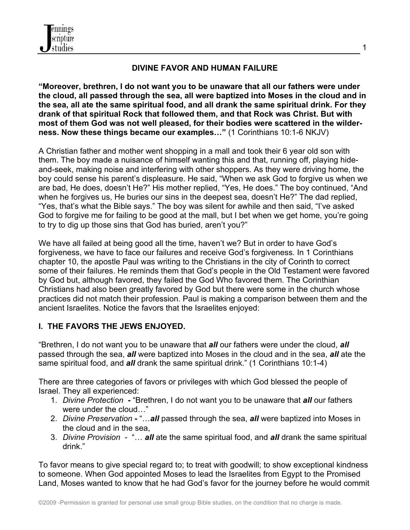

# **DIVINE FAVOR AND HUMAN FAILURE**

**"Moreover, brethren, I do not want you to be unaware that all our fathers were under the cloud, all passed through the sea, all were baptized into Moses in the cloud and in the sea, all ate the same spiritual food, and all drank the same spiritual drink. For they drank of that spiritual Rock that followed them, and that Rock was Christ. But with most of them God was not well pleased, for their bodies were scattered in the wilderness. Now these things became our examples…"** (1 Corinthians 10:1-6 NKJV)

A Christian father and mother went shopping in a mall and took their 6 year old son with them. The boy made a nuisance of himself wanting this and that, running off, playing hideand-seek, making noise and interfering with other shoppers. As they were driving home, the boy could sense his parent's displeasure. He said, "When we ask God to forgive us when we are bad, He does, doesn't He?" His mother replied, "Yes, He does." The boy continued, "And when he forgives us, He buries our sins in the deepest sea, doesn't He?" The dad replied, "Yes, that's what the Bible says." The boy was silent for awhile and then said, "I've asked God to forgive me for failing to be good at the mall, but I bet when we get home, you're going to try to dig up those sins that God has buried, aren't you?"

We have all failed at being good all the time, haven't we? But in order to have God's forgiveness, we have to face our failures and receive God's forgiveness. In 1 Corinthians chapter 10, the apostle Paul was writing to the Christians in the city of Corinth to correct some of their failures. He reminds them that God's people in the Old Testament were favored by God but, although favored, they failed the God Who favored them. The Corinthian Christians had also been greatly favored by God but there were some in the church whose practices did not match their profession. Paul is making a comparison between them and the ancient Israelites. Notice the favors that the Israelites enjoyed:

## **I. THE FAVORS THE JEWS ENJOYED.**

"Brethren, I do not want you to be unaware that *all* our fathers were under the cloud, *all*  passed through the sea, *all* were baptized into Moses in the cloud and in the sea, *all* ate the same spiritual food, and *all* drank the same spiritual drink." (1 Corinthians 10:1-4)

There are three categories of favors or privileges with which God blessed the people of Israel. They all experienced:

- 1. *Divine Protection* **-** "Brethren, I do not want you to be unaware that *all* our fathers were under the cloud…"
- 2. *Divine Preservation* **-** "…*all* passed through the sea, *all* were baptized into Moses in the cloud and in the sea,
- 3. *Divine Provision*  "… *all* ate the same spiritual food, and *all* drank the same spiritual drink."

To favor means to give special regard to; to treat with goodwill; to show exceptional kindness to someone. When God appointed Moses to lead the Israelites from Egypt to the Promised Land, Moses wanted to know that he had God's favor for the journey before he would commit

1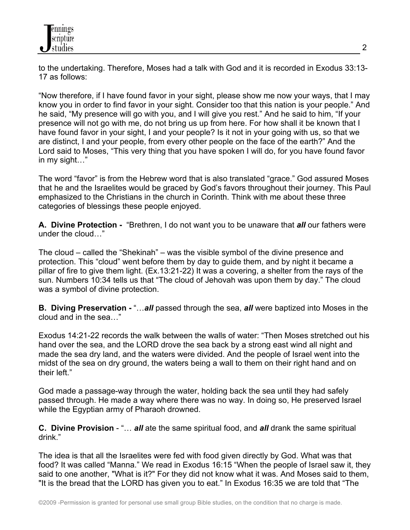to the undertaking. Therefore, Moses had a talk with God and it is recorded in Exodus 33:13- 17 as follows:

"Now therefore, if I have found favor in your sight, please show me now your ways, that I may know you in order to find favor in your sight. Consider too that this nation is your people." And he said, "My presence will go with you, and I will give you rest." And he said to him, "If your presence will not go with me, do not bring us up from here. For how shall it be known that I have found favor in your sight, I and your people? Is it not in your going with us, so that we are distinct, I and your people, from every other people on the face of the earth?" And the Lord said to Moses, "This very thing that you have spoken I will do, for you have found favor in my sight…"

The word "favor" is from the Hebrew word that is also translated "grace." God assured Moses that he and the Israelites would be graced by God's favors throughout their journey. This Paul emphasized to the Christians in the church in Corinth. Think with me about these three categories of blessings these people enjoyed.

**A. Divine Protection -** "Brethren, I do not want you to be unaware that *all* our fathers were under the cloud…"

The cloud – called the "Shekinah" – was the visible symbol of the divine presence and protection. This "cloud" went before them by day to guide them, and by night it became a pillar of fire to give them light. (Ex.13:21-22) It was a covering, a shelter from the rays of the sun. Numbers 10:34 tells us that "The cloud of Jehovah was upon them by day." The cloud was a symbol of divine protection.

**B. Diving Preservation -** "…*all* passed through the sea, *all* were baptized into Moses in the cloud and in the sea…"

Exodus 14:21-22 records the walk between the walls of water: "Then Moses stretched out his hand over the sea, and the LORD drove the sea back by a strong east wind all night and made the sea dry land, and the waters were divided. And the people of Israel went into the midst of the sea on dry ground, the waters being a wall to them on their right hand and on their left."

God made a passage-way through the water, holding back the sea until they had safely passed through. He made a way where there was no way. In doing so, He preserved Israel while the Egyptian army of Pharaoh drowned.

**C. Divine Provision** - "… *all* ate the same spiritual food, and *all* drank the same spiritual drink."

The idea is that all the Israelites were fed with food given directly by God. What was that food? It was called "Manna." We read in Exodus 16:15 "When the people of Israel saw it, they said to one another, "What is it?" For they did not know what it was. And Moses said to them, "It is the bread that the LORD has given you to eat." In Exodus 16:35 we are told that "The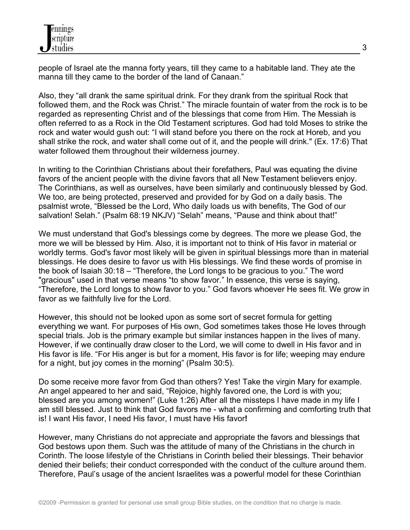people of Israel ate the manna forty years, till they came to a habitable land. They ate the manna till they came to the border of the land of Canaan."

Also, they "all drank the same spiritual drink. For they drank from the spiritual Rock that followed them, and the Rock was Christ." The miracle fountain of water from the rock is to be regarded as representing Christ and of the blessings that come from Him. The Messiah is often referred to as a Rock in the Old Testament scriptures. God had told Moses to strike the rock and water would gush out: "I will stand before you there on the rock at Horeb, and you shall strike the rock, and water shall come out of it, and the people will drink." (Ex. 17:6) That water followed them throughout their wilderness journey.

In writing to the Corinthian Christians about their forefathers, Paul was equating the divine favors of the ancient people with the divine favors that all New Testament believers enjoy. The Corinthians, as well as ourselves, have been similarly and continuously blessed by God. We too, are being protected, preserved and provided for by God on a daily basis. The psalmist wrote, "Blessed be the Lord, Who daily loads us with benefits, The God of our salvation! Selah." (Psalm 68:19 NKJV) "Selah" means, "Pause and think about that!"

We must understand that God's blessings come by degrees. The more we please God, the more we will be blessed by Him. Also, it is important not to think of His favor in material or worldly terms. God's favor most likely will be given in spiritual blessings more than in material blessings. He does desire to favor us with His blessings. We find these words of promise in the book of Isaiah 30:18 – "Therefore, the Lord longs to be gracious to you." The word "gracious" used in that verse means "to show favor." In essence, this verse is saying, "Therefore, the Lord longs to show favor to you." God favors whoever He sees fit. We grow in favor as we faithfully live for the Lord.

However, this should not be looked upon as some sort of secret formula for getting everything we want. For purposes of His own, God sometimes takes those He loves through special trials. Job is the primary example but similar instances happen in the lives of many. However, if we continually draw closer to the Lord, we will come to dwell in His favor and in His favor is life. "For His anger is but for a moment, His favor is for life; weeping may endure for a night, but joy comes in the morning" (Psalm 30:5).

Do some receive more favor from God than others? Yes! Take the virgin Mary for example. An angel appeared to her and said, "Rejoice, highly favored one, the Lord is with you; blessed are you among women!" (Luke 1:26) After all the missteps I have made in my life I am still blessed. Just to think that God favors me - what a confirming and comforting truth that is! I want His favor, I need His favor, I must have His favor**!**

However, many Christians do not appreciate and appropriate the favors and blessings that God bestows upon them. Such was the attitude of many of the Christians in the church in Corinth. The loose lifestyle of the Christians in Corinth belied their blessings. Their behavior denied their beliefs; their conduct corresponded with the conduct of the culture around them. Therefore, Paul's usage of the ancient Israelites was a powerful model for these Corinthian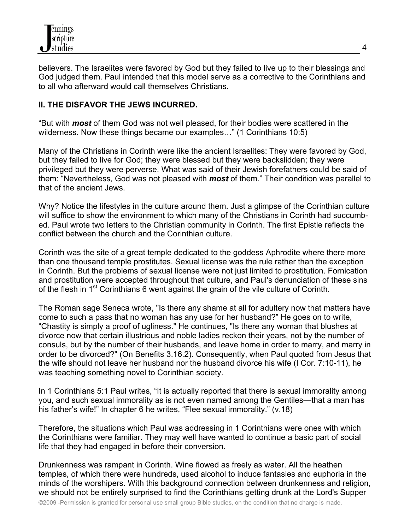believers. The Israelites were favored by God but they failed to live up to their blessings and God judged them. Paul intended that this model serve as a corrective to the Corinthians and to all who afterward would call themselves Christians.

# **II. THE DISFAVOR THE JEWS INCURRED.**

"But with *most* of them God was not well pleased, for their bodies were scattered in the wilderness. Now these things became our examples…" (1 Corinthians 10:5)

Many of the Christians in Corinth were like the ancient Israelites: They were favored by God, but they failed to live for God; they were blessed but they were backslidden; they were privileged but they were perverse. What was said of their Jewish forefathers could be said of them: "Nevertheless, God was not pleased with *most* of them." Their condition was parallel to that of the ancient Jews.

Why? Notice the lifestyles in the culture around them. Just a glimpse of the Corinthian culture will suffice to show the environment to which many of the Christians in Corinth had succumbed. Paul wrote two letters to the Christian community in Corinth. The first Epistle reflects the conflict between the church and the Corinthian culture.

Corinth was the site of a great temple dedicated to the goddess Aphrodite where there more than one thousand temple prostitutes. Sexual license was the rule rather than the exception in Corinth. But the problems of sexual license were not just limited to prostitution. Fornication and prostitution were accepted throughout that culture, and Paul's denunciation of these sins of the flesh in 1<sup>st</sup> Corinthians 6 went against the grain of the vile culture of Corinth.

The Roman sage Seneca wrote, "Is there any shame at all for adultery now that matters have come to such a pass that no woman has any use for her husband?" He goes on to write, "Chastity is simply a proof of ugliness." He continues, "Is there any woman that blushes at divorce now that certain illustrious and noble ladies reckon their years, not by the number of consuls, but by the number of their husbands, and leave home in order to marry, and marry in order to be divorced?" (On Benefits 3.16.2). Consequently, when Paul quoted from Jesus that the wife should not leave her husband nor the husband divorce his wife (I Cor. 7:10-11), he was teaching something novel to Corinthian society.

In 1 Corinthians 5:1 Paul writes, "It is actually reported that there is sexual immorality among you, and such sexual immorality as is not even named among the Gentiles—that a man has his father's wife!" In chapter 6 he writes, "Flee sexual immorality." (v.18)

Therefore, the situations which Paul was addressing in 1 Corinthians were ones with which the Corinthians were familiar. They may well have wanted to continue a basic part of social life that they had engaged in before their conversion.

Drunkenness was rampant in Corinth. Wine flowed as freely as water. All the heathen temples, of which there were hundreds, used alcohol to induce fantasies and euphoria in the minds of the worshipers. With this background connection between drunkenness and religion, we should not be entirely surprised to find the Corinthians getting drunk at the Lord's Supper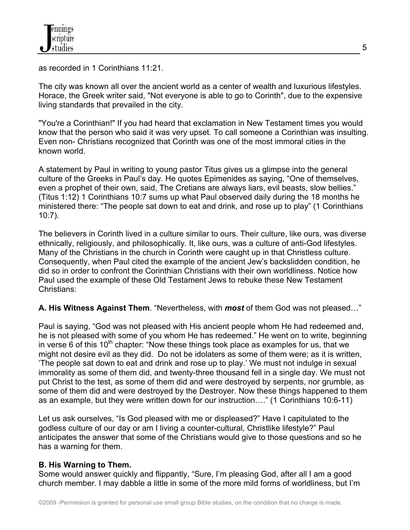as recorded in 1 Corinthians 11:21.

The city was known all over the ancient world as a center of wealth and luxurious lifestyles. Horace, the Greek writer said, "Not everyone is able to go to Corinth", due to the expensive living standards that prevailed in the city.

"You're a Corinthian!" If you had heard that exclamation in New Testament times you would know that the person who said it was very upset. To call someone a Corinthian was insulting. Even non- Christians recognized that Corinth was one of the most immoral cities in the known world.

A statement by Paul in writing to young pastor Titus gives us a glimpse into the general culture of the Greeks in Paul's day. He quotes Epimenides as saying, "One of themselves, even a prophet of their own, said, The Cretians are always liars, evil beasts, slow bellies." (Titus 1:12) 1 Corinthians 10:7 sums up what Paul observed daily during the 18 months he ministered there: "The people sat down to eat and drink, and rose up to play" (1 Corinthians 10:7).

The believers in Corinth lived in a culture similar to ours. Their culture, like ours, was diverse ethnically, religiously, and philosophically. It, like ours, was a culture of anti-God lifestyles. Many of the Christians in the church in Corinth were caught up in that Christless culture. Consequently, when Paul cited the example of the ancient Jew's backslidden condition, he did so in order to confront the Corinthian Christians with their own worldliness. Notice how Paul used the example of these Old Testament Jews to rebuke these New Testament Christians:

## **A. His Witness Against Them**. "Nevertheless, with *most* of them God was not pleased…"

Paul is saying, "God was not pleased with His ancient people whom He had redeemed and, he is not pleased with some of you whom He has redeemed." He went on to write, beginning in verse 6 of this 10<sup>th</sup> chapter: "Now these things took place as examples for us, that we might not desire evil as they did. Do not be idolaters as some of them were; as it is written, 'The people sat down to eat and drink and rose up to play.' We must not indulge in sexual immorality as some of them did, and twenty-three thousand fell in a single day. We must not put Christ to the test, as some of them did and were destroyed by serpents, nor grumble, as some of them did and were destroyed by the Destroyer. Now these things happened to them as an example, but they were written down for our instruction…." (1 Corinthians 10:6-11)

Let us ask ourselves, "Is God pleased with me or displeased?" Have I capitulated to the godless culture of our day or am I living a counter-cultural, Christlike lifestyle?" Paul anticipates the answer that some of the Christians would give to those questions and so he has a warning for them.

## **B. His Warning to Them.**

Some would answer quickly and flippantly, "Sure, I'm pleasing God, after all I am a good church member. I may dabble a little in some of the more mild forms of worldliness, but I'm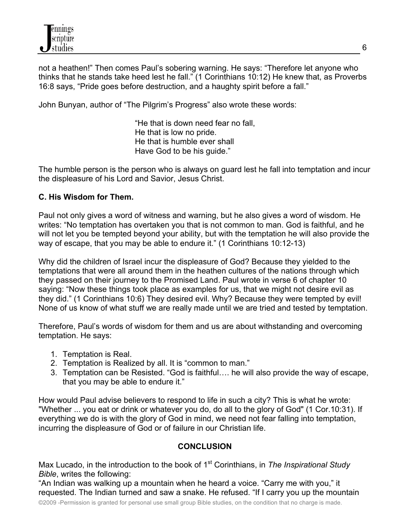not a heathen!" Then comes Paul's sobering warning. He says: "Therefore let anyone who thinks that he stands take heed lest he fall." (1 Corinthians 10:12) He knew that, as Proverbs 16:8 says, "Pride goes before destruction, and a haughty spirit before a fall."

John Bunyan, author of "The Pilgrim's Progress" also wrote these words:

"He that is down need fear no fall, He that is low no pride. He that is humble ever shall Have God to be his guide."

The humble person is the person who is always on guard lest he fall into temptation and incur the displeasure of his Lord and Savior, Jesus Christ.

## **C. His Wisdom for Them.**

Paul not only gives a word of witness and warning, but he also gives a word of wisdom. He writes: "No temptation has overtaken you that is not common to man. God is faithful, and he will not let you be tempted beyond your ability, but with the temptation he will also provide the way of escape, that you may be able to endure it." (1 Corinthians 10:12-13)

Why did the children of Israel incur the displeasure of God? Because they yielded to the temptations that were all around them in the heathen cultures of the nations through which they passed on their journey to the Promised Land. Paul wrote in verse 6 of chapter 10 saying: "Now these things took place as examples for us, that we might not desire evil as they did." (1 Corinthians 10:6) They desired evil. Why? Because they were tempted by evil! None of us know of what stuff we are really made until we are tried and tested by temptation.

Therefore, Paul's words of wisdom for them and us are about withstanding and overcoming temptation. He says:

- 1. Temptation is Real.
- 2. Temptation is Realized by all. It is "common to man."
- 3. Temptation can be Resisted. "God is faithful…. he will also provide the way of escape, that you may be able to endure it."

How would Paul advise believers to respond to life in such a city? This is what he wrote: "Whether ... you eat or drink or whatever you do, do all to the glory of God" (1 Cor.10:31). If everything we do is with the glory of God in mind, we need not fear falling into temptation, incurring the displeasure of God or of failure in our Christian life.

## **CONCLUSION**

Max Lucado, in the introduction to the book of 1<sup>st</sup> Corinthians, in *The Inspirational Study Bible*, writes the following:

"An Indian was walking up a mountain when he heard a voice. "Carry me with you," it requested. The Indian turned and saw a snake. He refused. "If I carry you up the mountain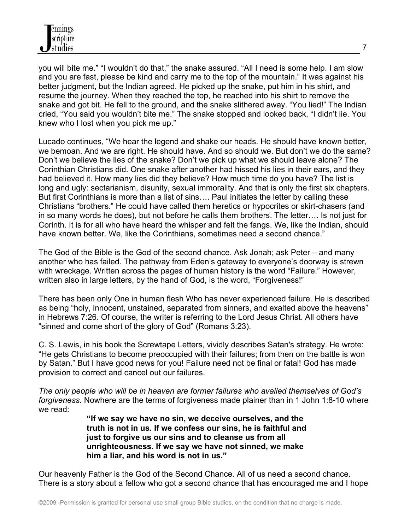

you will bite me." "I wouldn't do that," the snake assured. "All I need is some help. I am slow and you are fast, please be kind and carry me to the top of the mountain." It was against his better judgment, but the Indian agreed. He picked up the snake, put him in his shirt, and resume the journey. When they reached the top, he reached into his shirt to remove the snake and got bit. He fell to the ground, and the snake slithered away. "You lied!" The Indian cried, "You said you wouldn't bite me." The snake stopped and looked back, "I didn't lie. You knew who I lost when you pick me up."

Lucado continues, "We hear the legend and shake our heads. He should have known better, we bemoan. And we are right. He should have. And so should we. But don't we do the same? Don't we believe the lies of the snake? Don't we pick up what we should leave alone? The Corinthian Christians did. One snake after another had hissed his lies in their ears, and they had believed it. How many lies did they believe? How much time do you have? The list is long and ugly: sectarianism, disunity, sexual immorality. And that is only the first six chapters. But first Corinthians is more than a list of sins…. Paul initiates the letter by calling these Christians "brothers." He could have called them heretics or hypocrites or skirt-chasers (and in so many words he does), but not before he calls them brothers. The letter…. Is not just for Corinth. It is for all who have heard the whisper and felt the fangs. We, like the Indian, should have known better. We, like the Corinthians, sometimes need a second chance."

The God of the Bible is the God of the second chance. Ask Jonah; ask Peter – and many another who has failed. The pathway from Eden's gateway to everyone's doorway is strewn with wreckage. Written across the pages of human history is the word "Failure." However, written also in large letters, by the hand of God, is the word, "Forgiveness!"

There has been only One in human flesh Who has never experienced failure. He is described as being "holy, innocent, unstained, separated from sinners, and exalted above the heavens" in Hebrews 7:26. Of course, the writer is referring to the Lord Jesus Christ. All others have "sinned and come short of the glory of God" (Romans 3:23).

C. S. Lewis, in his book the Screwtape Letters, vividly describes Satan's strategy. He wrote: "He gets Christians to become preoccupied with their failures; from then on the battle is won by Satan." But I have good news for you! Failure need not be final or fatal! God has made provision to correct and cancel out our failures.

*The only people who will be in heaven are former failures who availed themselves of God's forgiveness.* Nowhere are the terms of forgiveness made plainer than in 1 John 1:8-10 where we read:

> **"If we say we have no sin, we deceive ourselves, and the truth is not in us. If we confess our sins, he is faithful and just to forgive us our sins and to cleanse us from all unrighteousness. If we say we have not sinned, we make him a liar, and his word is not in us."**

Our heavenly Father is the God of the Second Chance. All of us need a second chance. There is a story about a fellow who got a second chance that has encouraged me and I hope